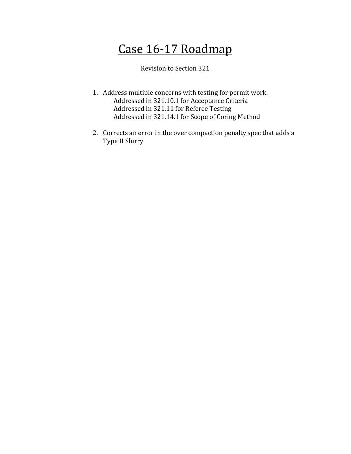# Case 16-17 Roadmap

Revision to Section 321

- 1. Address multiple concerns with testing for permit work. Addressed in 321.10.1 for Acceptance Criteria Addressed in 321.11 for Referee Testing Addressed in 321.14.1 for Scope of Coring Method
- 2. Corrects an error in the over compaction penalty spec that adds a Type II Slurry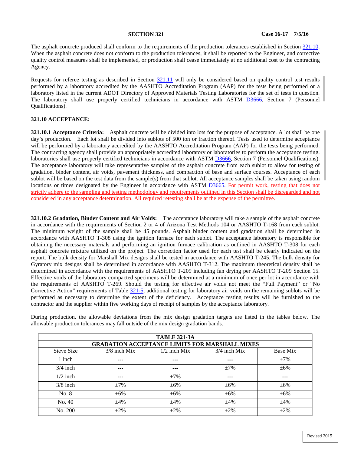The asphalt concrete produced shall conform to the requirements of the production tolerances established in Section [321.10.](#page-1-0)  When the asphalt concrete does not conform to the production tolerances, it shall be reported to the Engineer, and corrective quality control measures shall be implemented, or production shall cease immediately at no additional cost to the contracting Agency.

Requests for referee testing as described in Section [321.11](#page-3-0) will only be considered based on quality control test results performed by a laboratory accredited by the AASHTO Accreditation Program (AAP) for the tests being performed or a laboratory listed in the current ADOT Directory of Approved Materials Testing Laboratories for the set of tests in question. The laboratory shall use properly certified technicians in accordance with ASTM [D3666,](http://www.astm.org/cgi-bin/resolver.cgi?D3666) Section 7 (Personnel Qualifications).

# <span id="page-1-0"></span>**321.10 ACCEPTANCE:**

**321.10.1 Acceptance Criteria:** Asphalt concrete will be divided into lots for the purpose of acceptance. A lot shall be one day's production. Each lot shall be divided into sublots of 500 ton or fraction thereof. Tests used to determine acceptance will be performed by a laboratory accredited by the AASHTO Accreditation Program (AAP) for the tests being performed. The contracting agency shall provide an appropriately accredited laboratory or laboratories to perform the acceptance testing. laboratories shall use properly certified technicians in accordance with ASTM [D3666,](http://www.astm.org/cgi-bin/resolver.cgi?D3666) Section 7 (Personnel Qualifications). The acceptance laboratory will take representative samples of the asphalt concrete from each sublot to allow for testing of gradation, binder content, air voids, pavement thickness, and compaction of base and surface courses. Acceptance of each sublot will be based on the test data from the sample(s) from that sublot. All acceptance samples shall be taken using random locations or times designated by the Engineer in accordance with ASTM [D3665.](http://www.astm.org/cgi-bin/resolver.cgi?D3665) For permit work, testing that does not strictly adhere to the sampling and testing methodology and requirements outlined in this Section shall be disregarded and not considered in any acceptance determination. All required retesting shall be at the expense of the permittee.

**321.10.2 Gradation, Binder Content and Air Voids:** The acceptance laboratory will take a sample of the asphalt concrete in accordance with the requirements of Section 2 or 4 of Arizona Test Methods 104 or AASHTO T-168 from each sublot. The minimum weight of the sample shall be 45 pounds. Asphalt binder content and gradation shall be determined in accordance with AASHTO T-308 using the ignition furnace for each sublot. The acceptance laboratory is responsible for obtaining the necessary materials and performing an ignition furnace calibration as outlined in AASHTO T-308 for each asphalt concrete mixture utilized on the project. The correction factor used for each test shall be clearly indicated on the report. The bulk density for Marshall Mix designs shall be tested in accordance with AASHTO T-245. The bulk density for Gyratory mix designs shall be determined in accordance with AASHTO T-312. The maximum theoretical density shall be determined in accordance with the requirements of AASHTO T-209 including fan drying per AASHTO T-209 Section 15. Effective voids of the laboratory compacted specimens will be determined at a minimum of once per lot in accordance with the requirements of AASHTO T-269. Should the testing for effective air voids not meet the "Full Payment" or "No Corrective Action" requirements of Table 321-5, additional testing for laboratory air voids on the remaining sublots will be performed as necessary to determine the extent of the deficiency. Acceptance testing results will be furnished to the contractor and the supplier within five working days of receipt of samples by the acceptance laboratory.

| During production, the allowable deviations from the mix design gradation targets are listed in the tables below. The |  |  |  |  |  |  |  |  |
|-----------------------------------------------------------------------------------------------------------------------|--|--|--|--|--|--|--|--|
| allowable production tolerances may fall outside of the mix design gradation bands.                                   |  |  |  |  |  |  |  |  |

| <b>TABLE 321-3A</b>                                   |                |                |                |           |  |  |  |
|-------------------------------------------------------|----------------|----------------|----------------|-----------|--|--|--|
| <b>GRADATION ACCEPTANCE LIMITS FOR MARSHALL MIXES</b> |                |                |                |           |  |  |  |
| Sieve Size                                            | $3/8$ inch Mix | $1/2$ inch Mix | $3/4$ inch Mix | Base Mix  |  |  |  |
| 1 inch                                                | ---            | $- - -$        | ---            | $\pm 7\%$ |  |  |  |
| $3/4$ inch                                            | $---$          | ---            | $\pm 7\%$      | $\pm 6\%$ |  |  |  |
| $1/2$ inch                                            | ---            | $\pm 7\%$      | ---            | ---       |  |  |  |
| $3/8$ inch                                            | $+7%$          | $\pm 6\%$      | $+6\%$         | $+6\%$    |  |  |  |
| No. 8                                                 | $\pm 6\%$      | $\pm 6\%$      | $+6\%$         | $+6\%$    |  |  |  |
| No. 40                                                | $\pm 4\%$      | $\pm 4\%$      | $\pm 4\%$      | $\pm 4\%$ |  |  |  |
| No. 200                                               | $\pm 2\%$      | $\pm 2\%$      | $\pm 2\%$      | $\pm 2\%$ |  |  |  |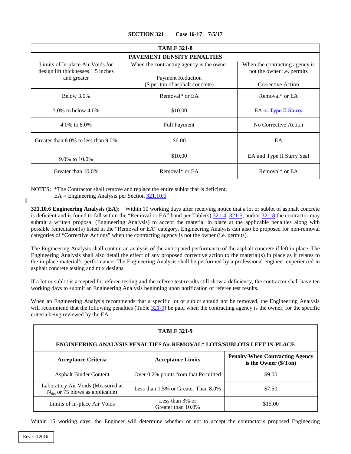<span id="page-2-1"></span>

| <b>TABLE 321-8</b>                                                     |                                                              |                                                              |  |  |  |  |  |
|------------------------------------------------------------------------|--------------------------------------------------------------|--------------------------------------------------------------|--|--|--|--|--|
| <b>PAVEMENT DENSITY PENALTIES</b>                                      |                                                              |                                                              |  |  |  |  |  |
| Limits of In-place Air Voids for<br>design lift thicknesses 1.5 inches | When the contracting agency is the owner                     | When the contracting agency is<br>not the owner i.e. permits |  |  |  |  |  |
| and greater                                                            | <b>Payment Reduction</b><br>(\$ per ton of asphalt concrete) | Corrective Action                                            |  |  |  |  |  |
| Below $3.0\%$                                                          | Removal* or EA                                               | Removal* or EA                                               |  |  |  |  |  |
| 3.0\% to below $4.0\%$                                                 | \$10.00                                                      | EA or Type II Slurry                                         |  |  |  |  |  |
| 4.0\% to $8.0\%$                                                       | <b>Full Payment</b>                                          | No Corrective Action                                         |  |  |  |  |  |
| Greater than 8.0% to less than 9.0%                                    | \$6.00                                                       | EA                                                           |  |  |  |  |  |
| 9.0% to 10.0%                                                          | \$10.00                                                      | EA and Type II Surry Seal                                    |  |  |  |  |  |
| Greater than 10.0%                                                     | Removal* or EA                                               | Removal* or EA                                               |  |  |  |  |  |

NOTES: \*The Contractor shall remove and replace the entire sublot that is deficient.

 $EA = Engineering$  Analysis per Section  $\frac{321.10.6}{2}$ 

**321.10.6 Engineering Analysis (EA)**: Within 10 working days after receiving notice that a lot or sublot of asphalt concrete is deficient and is found to fall within the "Removal or EA" band per Table(s)  $\frac{321-4}{21}$ ,  $\frac{321-5}{21}$ , and/or  $\frac{321-8}{21}$  the contractor may submit a written proposal (Engineering Analysis) to accept the material in place at the applicable penalties along with possible remediation(s) listed in the "Removal or EA" category. Engineering Analysis can also be proposed for non-removal categories of "Corrective Actions" when the contracting agency is not the owner (i.e. permits).

The Engineering Analysis shall contain an analysis of the anticipated performance of the asphalt concrete if left in place. The Engineering Analysis shall also detail the effect of any proposed corrective action to the material(s) in place as it relates to the in-place material's performance. The Engineering Analysis shall be performed by a professional engineer experienced in asphalt concrete testing and mix designs.

If a lot or sublot is accepted for referee testing and the referee test results still show a deficiency, the contractor shall have ten working days to submit an Engineering Analysis beginning upon notification of referee test results.

When an Engineering Analysis recommends that a specific lot or sublot should not be removed, the Engineering Analysis will recommend that the following penalties (Table  $321-9$ ) be paid when the contracting agency is the owner, for the specific criteria being reviewed by the EA.

<span id="page-2-2"></span>

| <b>TABLE 321-9</b>                                                        |                                          |                                                                 |  |  |  |  |  |
|---------------------------------------------------------------------------|------------------------------------------|-----------------------------------------------------------------|--|--|--|--|--|
| ENGINEERING ANALYSIS PENALTIES for REMOVAL* LOTS/SUBLOTS LEFT IN-PLACE    |                                          |                                                                 |  |  |  |  |  |
| <b>Acceptance Criteria</b>                                                | <b>Acceptance Limits</b>                 | <b>Penalty When Contracting Agency</b><br>is the Owner (\$/Ton) |  |  |  |  |  |
| <b>Asphalt Binder Content</b>                                             | Over 0.2% points from that Permitted     | \$9.00                                                          |  |  |  |  |  |
| Laboratory Air Voids (Measured at<br>$N_{des}$ or 75 blows as applicable) | Less than 1.5% or Greater Than 8.0%      | \$7.50                                                          |  |  |  |  |  |
| Limits of In-place Air Voids                                              | Less than $3\%$ or<br>Greater than 10.0% | \$15.00                                                         |  |  |  |  |  |

Within 15 working days, the Engineer will determine whether or not to accept the contractor's proposed Engineering

<span id="page-2-0"></span>ı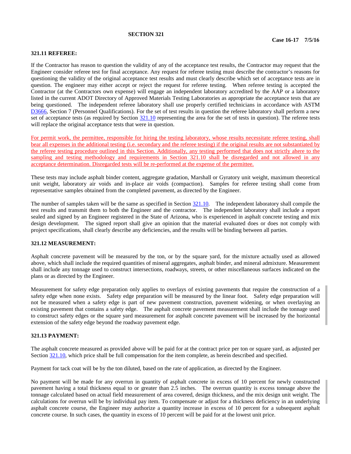# **SECTION 321**

# <span id="page-3-0"></span>**321.11 REFEREE:**

If the Contractor has reason to question the validity of any of the acceptance test results, the Contractor may request that the Engineer consider referee test for final acceptance. Any request for referee testing must describe the contractor's reasons for questioning the validity of the original acceptance test results and must clearly describe which set of acceptance tests are in question. The engineer may either accept or reject the request for referee testing. When referee testing is accepted the Contractor (at the Contractors own expense) will engage an independent laboratory accredited by the AAP or a laboratory listed in the current ADOT Directory of Approved Materials Testing Laboratories as appropriate the acceptance tests that are being questioned. The independent referee laboratory shall use properly certified technicians in accordance with ASTM [D3666,](http://www.astm.org/cgi-bin/resolver.cgi?D3666) Section 7 (Personnel Qualifications). For the set of test results in question the referee laboratory shall perform a new set of acceptance tests (as required by Section [321.10](#page-1-0) representing the area for the set of tests in question). The referee tests will replace the original acceptance tests that were in question.

For permit work, the permittee, responsible for hiring the testing laboratory, whose results necessitate referee testing, shall bear all expenses in the additional testing (i.e. secondary and the referee testing) if the original results are not substantiated by the referee testing procedure outlined in this Section. Additionally, any testing performed that does not strictly ahere to the sampling and testing methodology and requirements in Section 321.10 shall be disregarded and not allowed in any acceptance determination. Disregarded tests will be re-performed at the expense of the permittee.

These tests may include asphalt binder content, aggregate gradation, Marshall or Gyratory unit weight, maximum theoretical unit weight, laboratory air voids and in-place air voids (compaction). Samples for referee testing shall come from representative samples obtained from the completed pavement, as directed by the Engineer.

The number of samples taken will be the same as specified in Section  $\frac{321.10}{221.10}$ . The independent laboratory shall compile the test results and transmit them to both the Engineer and the contractor. The independent laboratory shall include a report sealed and signed by an Engineer registered in the State of Arizona, who is experienced in asphalt concrete testing and mix design development. The signed report shall give an opinion that the material evaluated does or does not comply with project specifications, shall clearly describe any deficiencies, and the results will be binding between all parties.

# **321.12 MEASUREMENT:**

Asphalt concrete pavement will be measured by the ton, or by the square yard, for the mixture actually used as allowed above, which shall include the required quantities of mineral aggregates, asphalt binder, and mineral admixture. Measurement shall include any tonnage used to construct intersections, roadways, streets, or other miscellaneous surfaces indicated on the plans or as directed by the Engineer.

Measurement for safety edge preparation only applies to overlays of existing pavements that require the construction of a safety edge when none exists. Safety edge preparation will be measured by the linear foot. Safety edge preparation will not be measured when a safety edge is part of new pavement construction, pavement widening, or when overlaying an existing pavement that contains a safety edge. The asphalt concrete pavement measurement shall include the tonnage used to construct safety edges or the square yard measurement for asphalt concrete pavement will be increased by the horizontal extension of the safety edge beyond the roadway pavement edge.

# **321.13 PAYMENT:**

The asphalt concrete measured as provided above will be paid for at the contract price per ton or square yard, as adjusted per Section [321.10,](#page-1-0) which price shall be full compensation for the item complete, as herein described and specified.

Payment for tack coat will be by the ton diluted, based on the rate of application, as directed by the Engineer.

No payment will be made for any overrun in quantity of asphalt concrete in excess of 10 percent for newly constructed pavement having a total thickness equal to or greater than 2.5 inches. The overrun quantity is excess tonnage above the tonnage calculated based on actual field measurement of area covered, design thickness, and the mix design unit weight. The calculations for overrun will be by individual pay item. To compensate or adjust for a thickness deficiency in an underlying asphalt concrete course, the Engineer may authorize a quantity increase in excess of 10 percent for a subsequent asphalt concrete course. In such cases, the quantity in excess of 10 percent will be paid for at the lowest unit price.